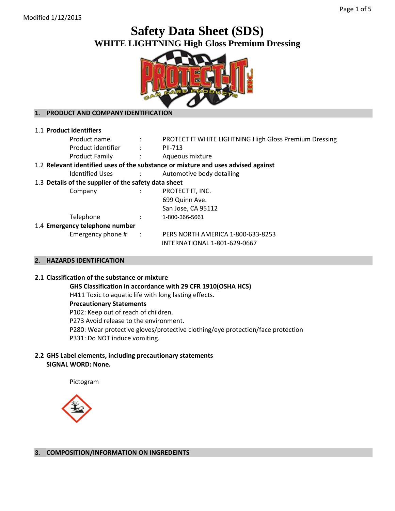# **Safety Data Sheet (SDS) WHITE LIGHTNING High Gloss Premium Dressing**



# **1. PRODUCT AND COMPANY IDENTIFICATION**

| 1.1 Product identifiers                                                                          |  |  |  |  |
|--------------------------------------------------------------------------------------------------|--|--|--|--|
| Product name<br><b>PROTECT IT WHITE LIGHTNING High Gloss Premium Dressing</b><br>$\sim 10^{-10}$ |  |  |  |  |
| Product identifier :<br>PII-713                                                                  |  |  |  |  |
| <b>Product Family</b><br>Aqueous mixture<br><b>Contractor</b>                                    |  |  |  |  |
| 1.2 Relevant identified uses of the substance or mixture and uses advised against                |  |  |  |  |
| Automotive body detailing<br>Identified Uses :                                                   |  |  |  |  |
| 1.3 Details of the supplier of the safety data sheet                                             |  |  |  |  |
| PROTECT IT, INC.<br>Company<br>$\mathcal{L}$                                                     |  |  |  |  |
| 699 Quinn Ave.                                                                                   |  |  |  |  |
| San Jose, CA 95112                                                                               |  |  |  |  |
| Telephone<br>1-800-366-5661                                                                      |  |  |  |  |
| 1.4 Emergency telephone number                                                                   |  |  |  |  |
| Emergency phone $#$ :<br>PERS NORTH AMERICA 1-800-633-8253                                       |  |  |  |  |
| INTERNATIONAL 1-801-629-0667                                                                     |  |  |  |  |

## **2. HAZARDS IDENTIFICATION**

#### **2.1 Classification of the substance or mixture**

**GHS Classification in accordance with 29 CFR 1910(OSHA HCS)**

H411 Toxic to aquatic life with long lasting effects.

## **Precautionary Statements**

P102: Keep out of reach of children. P273 Avoid release to the environment. P280: Wear protective gloves/protective clothing/eye protection/face protection P331: Do NOT induce vomiting.

# **2.2 GHS Label elements, including precautionary statements SIGNAL WORD: None.**

Pictogram



**3. COMPOSITION/INFORMATION ON INGREDEINTS**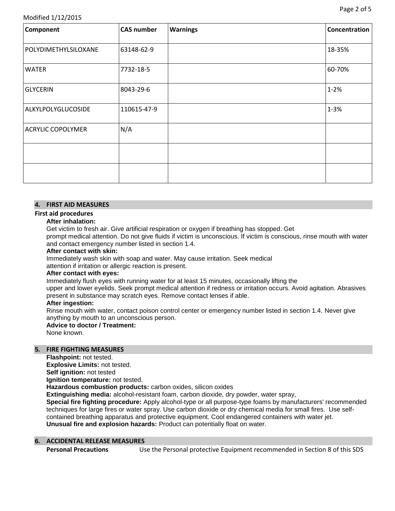# Modified 1/12/2015

| Component                | <b>CAS number</b> | <b>Warnings</b> | Concentration |
|--------------------------|-------------------|-----------------|---------------|
| POLYDIMETHYLSILOXANE     | 63148-62-9        |                 | 18-35%        |
| <b>WATER</b>             | 7732-18-5         |                 | 60-70%        |
| <b>GLYCERIN</b>          | 8043-29-6         |                 | $1 - 2%$      |
| ALKYLPOLYGLUCOSIDE       | 110615-47-9       |                 | $1 - 3%$      |
| <b>ACRYLIC COPOLYMER</b> | N/A               |                 |               |
|                          |                   |                 |               |
|                          |                   |                 |               |

# **4. FIRST AID MEASURES**

# **First aid procedures**

## **After inhalation:**

Get victim to fresh air. Give artificial respiration or oxygen if breathing has stopped. Get prompt medical attention. Do not give fluids if victim is unconscious. If victim is conscious, rinse mouth with water and contact emergency number listed in section 1.4.

#### **After contact with skin:**

Immediately wash skin with soap and water. May cause irritation. Seek medical

attention if irritation or allergic reaction is present.

## **After contact with eyes:**

Immediately flush eyes with running water for at least 15 minutes, occasionally lifting the

upper and lower eyelids. Seek prompt medical attention if redness or irritation occurs. Avoid agitation. Abrasives present in substance may scratch eyes. Remove contact lenses if able.

## **After ingestion:**

Rinse mouth with water, contact poison control center or emergency number listed in section 1.4. Never give anything by mouth to an unconscious person.

#### **Advice to doctor / Treatment:**

None known.

## **5. FIRE FIGHTING MEASURES**

**Flashpoint:** not tested.

**Explosive Limits:** not tested.

**Self ignition:** not tested

**Ignition temperature:** not tested.

**Hazardous combustion products:** carbon oxides, silicon oxides

**Extinguishing media:** alcohol-resistant foam, carbon dioxide, dry powder, water spray,

**Special fire fighting procedure:** Apply alcohol-type or all purpose-type foams by manufacturers' recommended techniques for large fires or water spray. Use carbon dioxide or dry chemical media for small fires. Use selfcontained breathing apparatus and protective equipment. Cool endangered containers with water jet. **Unusual fire and explosion hazards:** Product can potentially float on water.

## **6. ACCIDENTAL RELEASE MEASURES**

**Personal Precautions** Use the Personal protective Equipment recommended in Section 8 of this SDS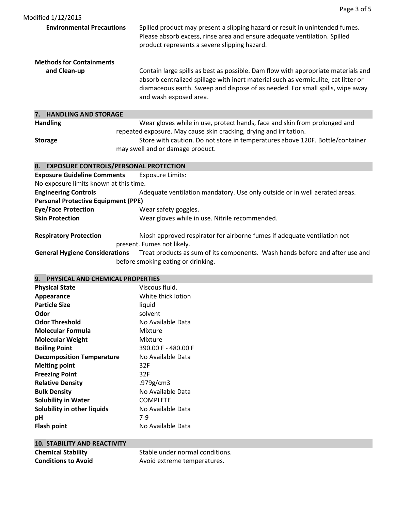| <b>Environmental Precautions</b>  | Spilled product may present a slipping hazard or result in unintended fumes.<br>Please absorb excess, rinse area and ensure adequate ventilation. Spilled<br>product represents a severe slipping hazard.                                                                          |
|-----------------------------------|------------------------------------------------------------------------------------------------------------------------------------------------------------------------------------------------------------------------------------------------------------------------------------|
| <b>Methods for Containments</b>   |                                                                                                                                                                                                                                                                                    |
| and Clean-up                      | Contain large spills as best as possible. Dam flow with appropriate materials and<br>absorb centralized spillage with inert material such as vermiculite, cat litter or<br>diamaceous earth. Sweep and dispose of as needed. For small spills, wipe away<br>and wash exposed area. |
| <b>HANDLING AND STORAGE</b><br>7. |                                                                                                                                                                                                                                                                                    |
| <b>Handling</b>                   | Wear gloves while in use, protect hands, face and skin from prolonged and<br>repeated exposure. May cause skin cracking, drying and irritation.                                                                                                                                    |
| <b>Storage</b>                    | Store with caution. Do not store in temperatures above 120F. Bottle/container<br>may swell and or damage product.                                                                                                                                                                  |
| 8.                                | <b>EXPOSURE CONTROLS/PERSONAL PROTECTION</b>                                                                                                                                                                                                                                       |

| 8.     EXPOSURE CONTROLS/PERSONAL PROTECTION                                                              |                                                                              |  |  |  |  |
|-----------------------------------------------------------------------------------------------------------|------------------------------------------------------------------------------|--|--|--|--|
| <b>Exposure Guideline Comments</b>                                                                        | <b>Exposure Limits:</b>                                                      |  |  |  |  |
| No exposure limits known at this time.                                                                    |                                                                              |  |  |  |  |
| <b>Engineering Controls</b><br>Adequate ventilation mandatory. Use only outside or in well aerated areas. |                                                                              |  |  |  |  |
| <b>Personal Protective Equipment (PPE)</b>                                                                |                                                                              |  |  |  |  |
| <b>Eye/Face Protection</b>                                                                                | Wear safety goggles.                                                         |  |  |  |  |
| <b>Skin Protection</b>                                                                                    | Wear gloves while in use. Nitrile recommended.                               |  |  |  |  |
| <b>Respiratory Protection</b>                                                                             | Niosh approved respirator for airborne fumes if adequate ventilation not     |  |  |  |  |
|                                                                                                           | present. Fumes not likely.                                                   |  |  |  |  |
| <b>General Hygiene Considerations</b>                                                                     | Treat products as sum of its components. Wash hands before and after use and |  |  |  |  |

before smoking eating or drinking.

# **9. PHYSICAL AND CHEMICAL PROPERTIES**

| <b>Physical State</b>            | Viscous fluid.      |
|----------------------------------|---------------------|
| Appearance                       | White thick lotion  |
| <b>Particle Size</b>             | liquid              |
| Odor                             | solvent             |
| <b>Odor Threshold</b>            | No Available Data   |
| Molecular Formula                | Mixture             |
| <b>Molecular Weight</b>          | Mixture             |
| <b>Boiling Point</b>             | 390.00 F - 480.00 F |
| <b>Decomposition Temperature</b> | No Available Data   |
| <b>Melting point</b>             | 32F                 |
| <b>Freezing Point</b>            | 32F                 |
| <b>Relative Density</b>          | .979g/cm3           |
| <b>Bulk Density</b>              | No Available Data   |
| <b>Solubility in Water</b>       | <b>COMPLETE</b>     |
| Solubility in other liquids      | No Available Data   |
| рH                               | 7-9                 |
| <b>Flash point</b>               | No Available Data   |
|                                  |                     |

| <b>10. STABILITY AND REACTIVITY</b> |                                 |
|-------------------------------------|---------------------------------|
| <b>Chemical Stability</b>           | Stable under normal conditions. |
| <b>Conditions to Avoid</b>          | Avoid extreme temperatures.     |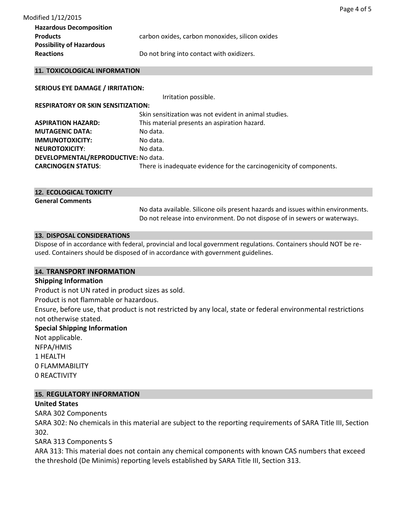| <b>Hazardous Decomposition</b>  |                                                 |
|---------------------------------|-------------------------------------------------|
| <b>Products</b>                 | carbon oxides, carbon monoxides, silicon oxides |
| <b>Possibility of Hazardous</b> |                                                 |
| <b>Reactions</b>                | Do not bring into contact with oxidizers.       |

### **11. TOXICOLOGICAL INFORMATION**

## **SERIOUS EYE DAMAGE / IRRITATION:**

Irritation possible.

**RESPIRATORY OR SKIN SENSITIZATION:** 

| Skin sensitization was not evident in animal studies.               |
|---------------------------------------------------------------------|
| This material presents an aspiration hazard.                        |
| No data.                                                            |
| No data.                                                            |
| No data.                                                            |
| DEVELOPMENTAL/REPRODUCTIVE: No data.                                |
| There is inadequate evidence for the carcinogenicity of components. |
|                                                                     |

| <b>12. ECOLOGICAL TOXICITY</b> |  |                                                                   |  |  |  |
|--------------------------------|--|-------------------------------------------------------------------|--|--|--|
| <b>General Comments</b>        |  | $\mathbf{H}$ . The set of $\mathbf{H}$ is the set of $\mathbf{H}$ |  |  |  |

No data available. Silicone oils present hazards and issues within environments. Do not release into environment. Do not dispose of in sewers or waterways.

## **13. DISPOSAL CONSIDERATIONS**

Dispose of in accordance with federal, provincial and local government regulations. Containers should NOT be reused. Containers should be disposed of in accordance with government guidelines.

## **14. TRANSPORT INFORMATION**

# **Shipping Information**

Product is not UN rated in product sizes as sold.

Product is not flammable or hazardous.

Ensure, before use, that product is not restricted by any local, state or federal environmental restrictions not otherwise stated.

# **Special Shipping Information**

Not applicable. NFPA/HMIS 1 HEALTH 0 FLAMMABILITY 0 REACTIVITY

# **15. REGULATORY INFORMATION**

# **United States**

SARA 302 Components

SARA 302: No chemicals in this material are subject to the reporting requirements of SARA Title III, Section 302.

SARA 313 Components S

ARA 313: This material does not contain any chemical components with known CAS numbers that exceed the threshold (De Minimis) reporting levels established by SARA Title III, Section 313.